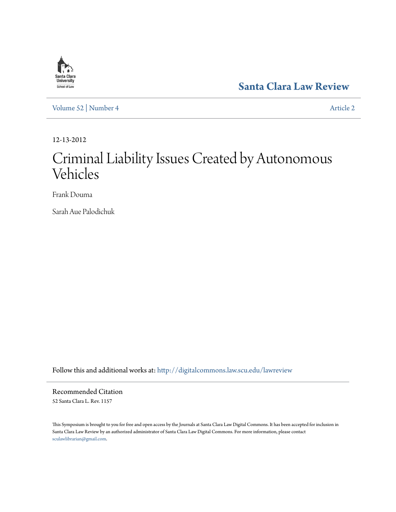

**[Santa Clara Law Review](http://digitalcommons.law.scu.edu/lawreview?utm_source=digitalcommons.law.scu.edu%2Flawreview%2Fvol52%2Fiss4%2F2&utm_medium=PDF&utm_campaign=PDFCoverPages)**

[Volume 52](http://digitalcommons.law.scu.edu/lawreview/vol52?utm_source=digitalcommons.law.scu.edu%2Flawreview%2Fvol52%2Fiss4%2F2&utm_medium=PDF&utm_campaign=PDFCoverPages) | [Number 4](http://digitalcommons.law.scu.edu/lawreview/vol52/iss4?utm_source=digitalcommons.law.scu.edu%2Flawreview%2Fvol52%2Fiss4%2F2&utm_medium=PDF&utm_campaign=PDFCoverPages) [Article 2](http://digitalcommons.law.scu.edu/lawreview/vol52/iss4/2?utm_source=digitalcommons.law.scu.edu%2Flawreview%2Fvol52%2Fiss4%2F2&utm_medium=PDF&utm_campaign=PDFCoverPages)

12-13-2012

# Criminal Liability Issues Created by Autonomous Vehicles

Frank Douma

Sarah Aue Palodichuk

Follow this and additional works at: [http://digitalcommons.law.scu.edu/lawreview](http://digitalcommons.law.scu.edu/lawreview?utm_source=digitalcommons.law.scu.edu%2Flawreview%2Fvol52%2Fiss4%2F2&utm_medium=PDF&utm_campaign=PDFCoverPages)

Recommended Citation 52 Santa Clara L. Rev. 1157

This Symposium is brought to you for free and open access by the Journals at Santa Clara Law Digital Commons. It has been accepted for inclusion in Santa Clara Law Review by an authorized administrator of Santa Clara Law Digital Commons. For more information, please contact [sculawlibrarian@gmail.com](mailto:sculawlibrarian@gmail.com).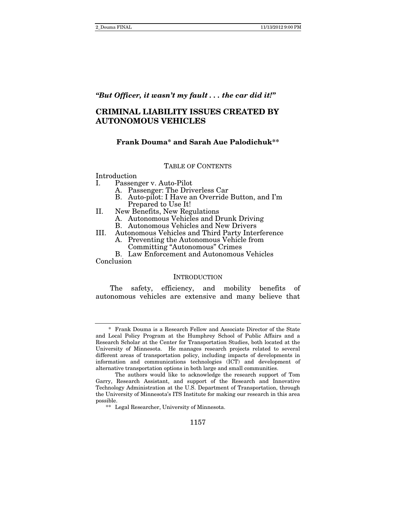# *"But Officer, it wasn't my fault . . . the car did it!"*

# **CRIMINAL LIABILITY ISSUES CREATED BY AUTONOMOUS VEHICLES**

# **Frank Douma\* and Sarah Aue Palodichuk\*\***

#### TABLE OF CONTENTS

Introduction

- I. Passenger v. Auto-Pilot
	- A. Passenger: The Driverless Car
	- B. Auto-pilot: I Have an Override Button, and I'm Prepared to Use It!
- II. New Benefits, New Regulations
	- A. Autonomous Vehicles and Drunk Driving
	- B. Autonomous Vehicles and New Drivers
- III. Autonomous Vehicles and Third Party Interference
	- A. Preventing the Autonomous Vehicle from Committing "Autonomous" Crimes

B. Law Enforcement and Autonomous Vehicles

Conclusion

#### **INTRODUCTION**

The safety, efficiency, and mobility benefits of autonomous vehicles are extensive and many believe that

 <sup>\*</sup> Frank Douma is a Research Fellow and Associate Director of the State and Local Policy Program at the Humphrey School of Public Affairs and a Research Scholar at the Center for Transportation Studies, both located at the University of Minnesota. He manages research projects related to several different areas of transportation policy, including impacts of developments in information and communications technologies (ICT) and development of alternative transportation options in both large and small communities.

The authors would like to acknowledge the research support of Tom Garry, Research Assistant, and support of the Research and Innovative Technology Administration at the U.S. Department of Transportation, through the University of Minnesota's ITS Institute for making our research in this area possible.

 <sup>\*\*</sup> Legal Researcher, University of Minnesota.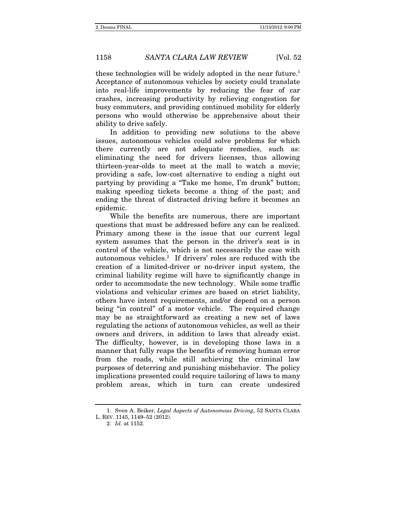these technologies will be widely adopted in the near future.<sup>1</sup> Acceptance of autonomous vehicles by society could translate into real-life improvements by reducing the fear of car crashes, increasing productivity by relieving congestion for busy commuters, and providing continued mobility for elderly persons who would otherwise be apprehensive about their ability to drive safely.

In addition to providing new solutions to the above issues, autonomous vehicles could solve problems for which there currently are not adequate remedies, such as: eliminating the need for drivers licenses, thus allowing thirteen-year-olds to meet at the mall to watch a movie; providing a safe, low-cost alternative to ending a night out partying by providing a "Take me home, I'm drunk" button; making speeding tickets become a thing of the past; and ending the threat of distracted driving before it becomes an epidemic.

While the benefits are numerous, there are important questions that must be addressed before any can be realized. Primary among these is the issue that our current legal system assumes that the person in the driver's seat is in control of the vehicle, which is not necessarily the case with autonomous vehicles.<sup>2</sup> If drivers' roles are reduced with the creation of a limited-driver or no-driver input system, the criminal liability regime will have to significantly change in order to accommodate the new technology. While some traffic violations and vehicular crimes are based on strict liability, others have intent requirements, and/or depend on a person being "in control" of a motor vehicle. The required change may be as straightforward as creating a new set of laws regulating the actions of autonomous vehicles, as well as their owners and drivers, in addition to laws that already exist. The difficulty, however, is in developing those laws in a manner that fully reaps the benefits of removing human error from the roads, while still achieving the criminal law purposes of deterring and punishing misbehavior. The policy implications presented could require tailoring of laws to many problem areas, which in turn can create undesired

 <sup>1.</sup> Sven A. Beiker, Legal Aspects of Autonomous Driving, 52 SANTA CLARA L. REV. 1145, 1149–52 (2012).

 <sup>2.</sup> Id. at 1152.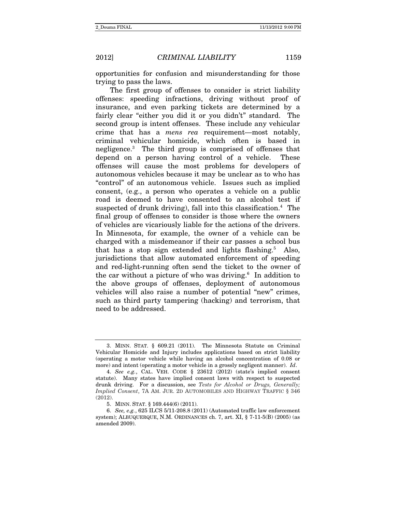opportunities for confusion and misunderstanding for those trying to pass the laws.

The first group of offenses to consider is strict liability offenses: speeding infractions, driving without proof of insurance, and even parking tickets are determined by a fairly clear "either you did it or you didn't" standard. The second group is intent offenses. These include any vehicular crime that has a mens rea requirement—most notably, criminal vehicular homicide, which often is based in negligence.3 The third group is comprised of offenses that depend on a person having control of a vehicle. These offenses will cause the most problems for developers of autonomous vehicles because it may be unclear as to who has "control" of an autonomous vehicle. Issues such as implied consent, (e.g., a person who operates a vehicle on a public road is deemed to have consented to an alcohol test if suspected of drunk driving), fall into this classification.<sup>4</sup> The final group of offenses to consider is those where the owners of vehicles are vicariously liable for the actions of the drivers. In Minnesota, for example, the owner of a vehicle can be charged with a misdemeanor if their car passes a school bus that has a stop sign extended and lights flashing.<sup>5</sup> Also, jurisdictions that allow automated enforcement of speeding and red-light-running often send the ticket to the owner of the car without a picture of who was driving.<sup>6</sup> In addition to the above groups of offenses, deployment of autonomous vehicles will also raise a number of potential "new" crimes, such as third party tampering (hacking) and terrorism, that need to be addressed.

 <sup>3.</sup> MINN. STAT. § 609.21 (2011). The Minnesota Statute on Criminal Vehicular Homicide and Injury includes applications based on strict liability (operating a motor vehicle while having an alcohol concentration of 0.08 or more) and intent (operating a motor vehicle in a grossly negligent manner). Id.

 <sup>4.</sup> See e.g., CAL. VEH. CODE § 23612 (2012) (state's implied consent statute). Many states have implied consent laws with respect to suspected drunk driving. For a discussion, see Tests for Alcohol or Drugs, Generally; Implied Consent, 7A AM. JUR. 2D AUTOMOBILES AND HIGHWAY TRAFFIC § 346 (2012).

 <sup>5.</sup> MINN. STAT. § 169.444(6) (2011).

 <sup>6.</sup> See, e.g., 625 ILCS 5/11-208.8 (2011) (Automated traffic law enforcement system); ALBUQUERQUE, N.M. ORDINANCES ch. 7, art. XI, § 7-11-5(B) (2005) (as amended 2009).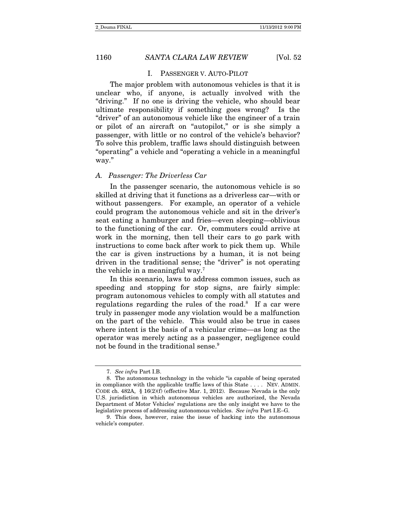#### I. PASSENGER V. AUTO-PILOT

The major problem with autonomous vehicles is that it is unclear who, if anyone, is actually involved with the "driving." If no one is driving the vehicle, who should bear ultimate responsibility if something goes wrong? Is the "driver" of an autonomous vehicle like the engineer of a train or pilot of an aircraft on "autopilot," or is she simply a passenger, with little or no control of the vehicle's behavior? To solve this problem, traffic laws should distinguish between "operating" a vehicle and "operating a vehicle in a meaningful way."

#### A. Passenger: The Driverless Car

In the passenger scenario, the autonomous vehicle is so skilled at driving that it functions as a driverless car—with or without passengers. For example, an operator of a vehicle could program the autonomous vehicle and sit in the driver's seat eating a hamburger and fries—even sleeping—oblivious to the functioning of the car. Or, commuters could arrive at work in the morning, then tell their cars to go park with instructions to come back after work to pick them up. While the car is given instructions by a human, it is not being driven in the traditional sense; the "driver" is not operating the vehicle in a meaningful way.7

In this scenario, laws to address common issues, such as speeding and stopping for stop signs, are fairly simple: program autonomous vehicles to comply with all statutes and regulations regarding the rules of the road.<sup>8</sup> If a car were truly in passenger mode any violation would be a malfunction on the part of the vehicle. This would also be true in cases where intent is the basis of a vehicular crime—as long as the operator was merely acting as a passenger, negligence could not be found in the traditional sense.<sup>9</sup>

 <sup>7.</sup> See infra Part I.B.

 <sup>8.</sup> The autonomous technology in the vehicle "is capable of being operated in compliance with the applicable traffic laws of this State . . . . NEV. ADMIN. CODE ch. 482A, § 16(2)(f) (effective Mar. 1, 2012). Because Nevada is the only U.S. jurisdiction in which autonomous vehicles are authorized, the Nevada Department of Motor Vehicles' regulations are the only insight we have to the legislative process of addressing autonomous vehicles. See infra Part I.E–G.

 <sup>9.</sup> This does, however, raise the issue of hacking into the autonomous vehicle's computer.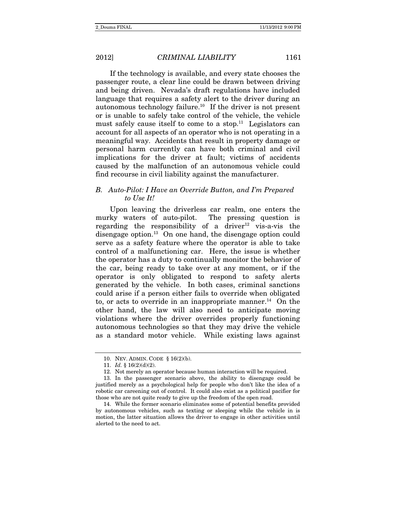If the technology is available, and every state chooses the passenger route, a clear line could be drawn between driving and being driven. Nevada's draft regulations have included language that requires a safety alert to the driver during an autonomous technology failure.<sup>10</sup> If the driver is not present or is unable to safely take control of the vehicle, the vehicle must safely cause itself to come to a stop.<sup>11</sup> Legislators can account for all aspects of an operator who is not operating in a meaningful way. Accidents that result in property damage or personal harm currently can have both criminal and civil implications for the driver at fault; victims of accidents caused by the malfunction of an autonomous vehicle could find recourse in civil liability against the manufacturer.

# B. Auto-Pilot: I Have an Override Button, and I'm Prepared to Use It!

Upon leaving the driverless car realm, one enters the murky waters of auto-pilot. The pressing question is regarding the responsibility of a driver $12$  vis-a-vis the disengage option.<sup>13</sup> On one hand, the disengage option could serve as a safety feature where the operator is able to take control of a malfunctioning car. Here, the issue is whether the operator has a duty to continually monitor the behavior of the car, being ready to take over at any moment, or if the operator is only obligated to respond to safety alerts generated by the vehicle. In both cases, criminal sanctions could arise if a person either fails to override when obligated to, or acts to override in an inappropriate manner.<sup>14</sup> On the other hand, the law will also need to anticipate moving violations where the driver overrides properly functioning autonomous technologies so that they may drive the vehicle as a standard motor vehicle. While existing laws against

 <sup>10.</sup> NEV. ADMIN. CODE § 16(2)(b).

 <sup>11.</sup> Id. § 16(2)(d)(2).

 <sup>12.</sup> Not merely an operator because human interaction will be required.

 <sup>13.</sup> In the passenger scenario above, the ability to disengage could be justified merely as a psychological help for people who don't like the idea of a robotic car careening out of control. It could also exist as a political pacifier for those who are not quite ready to give up the freedom of the open road.

 <sup>14.</sup> While the former scenario eliminates some of potential benefits provided by autonomous vehicles, such as texting or sleeping while the vehicle in is motion, the latter situation allows the driver to engage in other activities until alerted to the need to act.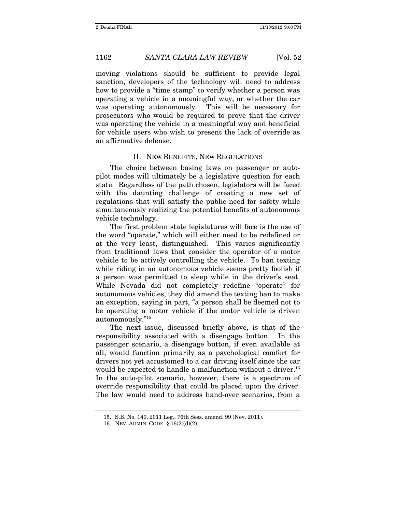moving violations should be sufficient to provide legal sanction, developers of the technology will need to address how to provide a "time stamp" to verify whether a person was operating a vehicle in a meaningful way, or whether the car was operating autonomously. This will be necessary for prosecutors who would be required to prove that the driver was operating the vehicle in a meaningful way and beneficial for vehicle users who wish to present the lack of override as an affirmative defense.

#### II. NEW BENEFITS, NEW REGULATIONS

The choice between basing laws on passenger or autopilot modes will ultimately be a legislative question for each state. Regardless of the path chosen, legislators will be faced with the daunting challenge of creating a new set of regulations that will satisfy the public need for safety while simultaneously realizing the potential benefits of autonomous vehicle technology.

The first problem state legislatures will face is the use of the word "operate," which will either need to be redefined or at the very least, distinguished. This varies significantly from traditional laws that consider the operator of a motor vehicle to be actively controlling the vehicle. To ban texting while riding in an autonomous vehicle seems pretty foolish if a person was permitted to sleep while in the driver's seat. While Nevada did not completely redefine "operate" for autonomous vehicles, they did amend the texting ban to make an exception, saying in part, "a person shall be deemed not to be operating a motor vehicle if the motor vehicle is driven autonomously."15

The next issue, discussed briefly above, is that of the responsibility associated with a disengage button. In the passenger scenario, a disengage button, if even available at all, would function primarily as a psychological comfort for drivers not yet accustomed to a car driving itself since the car would be expected to handle a malfunction without a driver.<sup>16</sup> In the auto-pilot scenario, however, there is a spectrum of override responsibility that could be placed upon the driver. The law would need to address hand-over scenarios, from a

 <sup>15.</sup> S.B. No. 140, 2011 Leg., 76th Sess. amend. 99 (Nev. 2011).

 <sup>16.</sup> NEV. ADMIN. CODE § 16(2)(d)(2).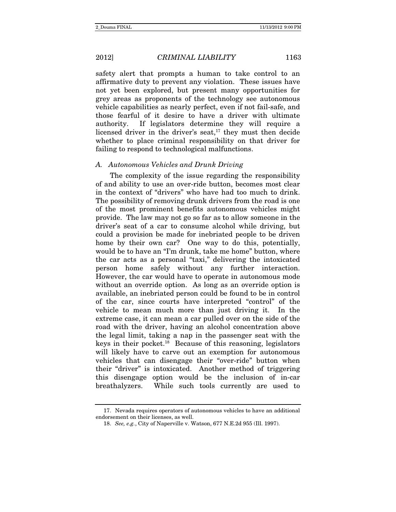safety alert that prompts a human to take control to an affirmative duty to prevent any violation. These issues have not yet been explored, but present many opportunities for grey areas as proponents of the technology see autonomous vehicle capabilities as nearly perfect, even if not fail-safe, and those fearful of it desire to have a driver with ultimate authority. If legislators determine they will require a licensed driver in the driver's seat, $17$  they must then decide whether to place criminal responsibility on that driver for failing to respond to technological malfunctions.

#### A. Autonomous Vehicles and Drunk Driving

The complexity of the issue regarding the responsibility of and ability to use an over-ride button, becomes most clear in the context of "drivers" who have had too much to drink. The possibility of removing drunk drivers from the road is one of the most prominent benefits autonomous vehicles might provide. The law may not go so far as to allow someone in the driver's seat of a car to consume alcohol while driving, but could a provision be made for inebriated people to be driven home by their own car? One way to do this, potentially, would be to have an "I'm drunk, take me home" button, where the car acts as a personal "taxi," delivering the intoxicated person home safely without any further interaction. However, the car would have to operate in autonomous mode without an override option. As long as an override option is available, an inebriated person could be found to be in control of the car, since courts have interpreted "control" of the vehicle to mean much more than just driving it. In the extreme case, it can mean a car pulled over on the side of the road with the driver, having an alcohol concentration above the legal limit, taking a nap in the passenger seat with the keys in their pocket.18 Because of this reasoning, legislators will likely have to carve out an exemption for autonomous vehicles that can disengage their "over-ride" button when their "driver" is intoxicated. Another method of triggering this disengage option would be the inclusion of in-car breathalyzers. While such tools currently are used to

 <sup>17.</sup> Nevada requires operators of autonomous vehicles to have an additional endorsement on their licenses, as well.

 <sup>18.</sup> See, e.g., City of Naperville v. Watson, 677 N.E.2d 955 (Ill. 1997).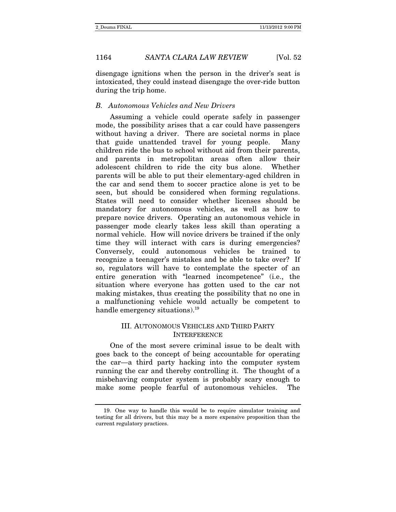disengage ignitions when the person in the driver's seat is intoxicated, they could instead disengage the over-ride button during the trip home.

#### B. Autonomous Vehicles and New Drivers

Assuming a vehicle could operate safely in passenger mode, the possibility arises that a car could have passengers without having a driver. There are societal norms in place that guide unattended travel for young people. Many children ride the bus to school without aid from their parents, and parents in metropolitan areas often allow their adolescent children to ride the city bus alone. Whether parents will be able to put their elementary-aged children in the car and send them to soccer practice alone is yet to be seen, but should be considered when forming regulations. States will need to consider whether licenses should be mandatory for autonomous vehicles, as well as how to prepare novice drivers. Operating an autonomous vehicle in passenger mode clearly takes less skill than operating a normal vehicle. How will novice drivers be trained if the only time they will interact with cars is during emergencies? Conversely, could autonomous vehicles be trained to recognize a teenager's mistakes and be able to take over? If so, regulators will have to contemplate the specter of an entire generation with "learned incompetence" (i.e., the situation where everyone has gotten used to the car not making mistakes, thus creating the possibility that no one in a malfunctioning vehicle would actually be competent to handle emergency situations).<sup>19</sup>

# III. AUTONOMOUS VEHICLES AND THIRD PARTY INTERFERENCE

One of the most severe criminal issue to be dealt with goes back to the concept of being accountable for operating the car—a third party hacking into the computer system running the car and thereby controlling it. The thought of a misbehaving computer system is probably scary enough to make some people fearful of autonomous vehicles. The

 <sup>19.</sup> One way to handle this would be to require simulator training and testing for all drivers, but this may be a more expensive proposition than the current regulatory practices.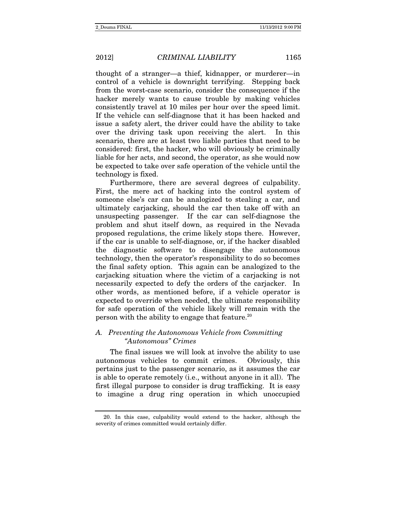thought of a stranger—a thief, kidnapper, or murderer—in control of a vehicle is downright terrifying. Stepping back from the worst-case scenario, consider the consequence if the hacker merely wants to cause trouble by making vehicles consistently travel at 10 miles per hour over the speed limit. If the vehicle can self-diagnose that it has been hacked and issue a safety alert, the driver could have the ability to take over the driving task upon receiving the alert. In this scenario, there are at least two liable parties that need to be considered: first, the hacker, who will obviously be criminally liable for her acts, and second, the operator, as she would now be expected to take over safe operation of the vehicle until the technology is fixed.

Furthermore, there are several degrees of culpability. First, the mere act of hacking into the control system of someone else's car can be analogized to stealing a car, and ultimately carjacking, should the car then take off with an unsuspecting passenger. If the car can self-diagnose the problem and shut itself down, as required in the Nevada proposed regulations, the crime likely stops there. However, if the car is unable to self-diagnose, or, if the hacker disabled the diagnostic software to disengage the autonomous technology, then the operator's responsibility to do so becomes the final safety option. This again can be analogized to the carjacking situation where the victim of a carjacking is not necessarily expected to defy the orders of the carjacker. In other words, as mentioned before, if a vehicle operator is expected to override when needed, the ultimate responsibility for safe operation of the vehicle likely will remain with the person with the ability to engage that feature.20

### A. Preventing the Autonomous Vehicle from Committing "Autonomous" Crimes

The final issues we will look at involve the ability to use autonomous vehicles to commit crimes. Obviously, this pertains just to the passenger scenario, as it assumes the car is able to operate remotely (i.e., without anyone in it all). The first illegal purpose to consider is drug trafficking. It is easy to imagine a drug ring operation in which unoccupied

 <sup>20.</sup> In this case, culpability would extend to the hacker, although the severity of crimes committed would certainly differ.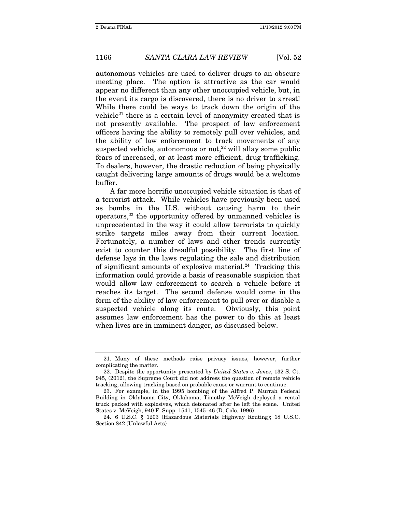autonomous vehicles are used to deliver drugs to an obscure meeting place. The option is attractive as the car would appear no different than any other unoccupied vehicle, but, in the event its cargo is discovered, there is no driver to arrest! While there could be ways to track down the origin of the vehicle<sup>21</sup> there is a certain level of anonymity created that is not presently available. The prospect of law enforcement officers having the ability to remotely pull over vehicles, and the ability of law enforcement to track movements of any suspected vehicle, autonomous or not, $22$  will allay some public fears of increased, or at least more efficient, drug trafficking. To dealers, however, the drastic reduction of being physically caught delivering large amounts of drugs would be a welcome buffer.

A far more horrific unoccupied vehicle situation is that of a terrorist attack. While vehicles have previously been used as bombs in the U.S. without causing harm to their operators,23 the opportunity offered by unmanned vehicles is unprecedented in the way it could allow terrorists to quickly strike targets miles away from their current location. Fortunately, a number of laws and other trends currently exist to counter this dreadful possibility. The first line of defense lays in the laws regulating the sale and distribution of significant amounts of explosive material.<sup>24</sup> Tracking this information could provide a basis of reasonable suspicion that would allow law enforcement to search a vehicle before it reaches its target. The second defense would come in the form of the ability of law enforcement to pull over or disable a suspected vehicle along its route. Obviously, this point assumes law enforcement has the power to do this at least when lives are in imminent danger, as discussed below.

 <sup>21.</sup> Many of these methods raise privacy issues, however, further complicating the matter.

 <sup>22.</sup> Despite the opportunity presented by United States v. Jones, 132 S. Ct. 945, (2012), the Supreme Court did not address the question of remote vehicle tracking, allowing tracking based on probable cause or warrant to continue.

 <sup>23.</sup> For example, in the 1995 bombing of the Alfred P. Murrah Federal Building in Oklahoma City, Oklahoma, Timothy McVeigh deployed a rental truck packed with explosives, which detonated after he left the scene. United States v. McVeigh, 940 F. Supp. 1541, 1545–46 (D. Colo. 1996)

 <sup>24. 6</sup> U.S.C. § 1203 (Hazardous Materials Highway Routing); 18 U.S.C. Section 842 (Unlawful Acts)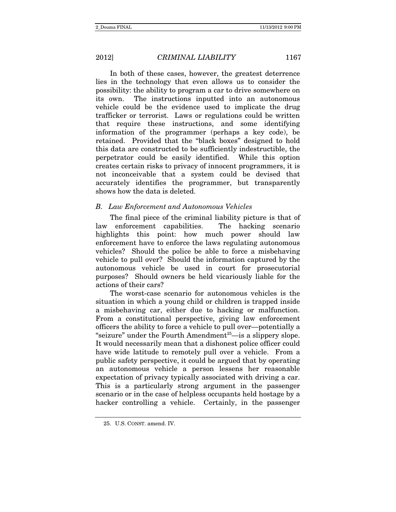In both of these cases, however, the greatest deterrence lies in the technology that even allows us to consider the possibility: the ability to program a car to drive somewhere on its own. The instructions inputted into an autonomous vehicle could be the evidence used to implicate the drug trafficker or terrorist. Laws or regulations could be written that require these instructions, and some identifying information of the programmer (perhaps a key code), be retained. Provided that the "black boxes" designed to hold this data are constructed to be sufficiently indestructible, the perpetrator could be easily identified. While this option creates certain risks to privacy of innocent programmers, it is not inconceivable that a system could be devised that accurately identifies the programmer, but transparently shows how the data is deleted.

### B. Law Enforcement and Autonomous Vehicles

The final piece of the criminal liability picture is that of law enforcement capabilities. The hacking scenario highlights this point: how much power should law enforcement have to enforce the laws regulating autonomous vehicles? Should the police be able to force a misbehaving vehicle to pull over? Should the information captured by the autonomous vehicle be used in court for prosecutorial purposes? Should owners be held vicariously liable for the actions of their cars?

The worst-case scenario for autonomous vehicles is the situation in which a young child or children is trapped inside a misbehaving car, either due to hacking or malfunction. From a constitutional perspective, giving law enforcement officers the ability to force a vehicle to pull over—potentially a "seizure" under the Fourth Amendment<sup>25</sup>—is a slippery slope. It would necessarily mean that a dishonest police officer could have wide latitude to remotely pull over a vehicle. From a public safety perspective, it could be argued that by operating an autonomous vehicle a person lessens her reasonable expectation of privacy typically associated with driving a car. This is a particularly strong argument in the passenger scenario or in the case of helpless occupants held hostage by a hacker controlling a vehicle. Certainly, in the passenger

 <sup>25.</sup> U.S. CONST. amend. IV.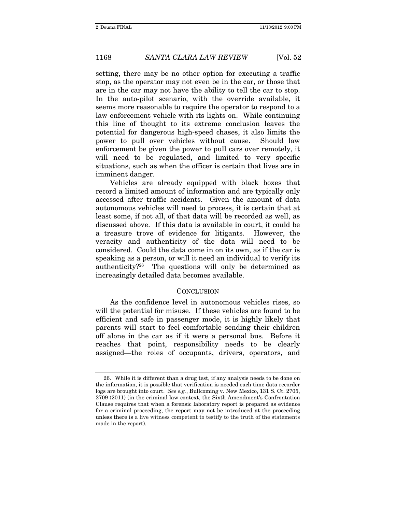setting, there may be no other option for executing a traffic stop, as the operator may not even be in the car, or those that are in the car may not have the ability to tell the car to stop. In the auto-pilot scenario, with the override available, it seems more reasonable to require the operator to respond to a law enforcement vehicle with its lights on. While continuing this line of thought to its extreme conclusion leaves the potential for dangerous high-speed chases, it also limits the power to pull over vehicles without cause. Should law enforcement be given the power to pull cars over remotely, it will need to be regulated, and limited to very specific situations, such as when the officer is certain that lives are in imminent danger.

Vehicles are already equipped with black boxes that record a limited amount of information and are typically only accessed after traffic accidents. Given the amount of data autonomous vehicles will need to process, it is certain that at least some, if not all, of that data will be recorded as well, as discussed above. If this data is available in court, it could be a treasure trove of evidence for litigants. However, the veracity and authenticity of the data will need to be considered. Could the data come in on its own, as if the car is speaking as a person, or will it need an individual to verify its authenticity?26 The questions will only be determined as increasingly detailed data becomes available.

#### **CONCLUSION**

As the confidence level in autonomous vehicles rises, so will the potential for misuse. If these vehicles are found to be efficient and safe in passenger mode, it is highly likely that parents will start to feel comfortable sending their children off alone in the car as if it were a personal bus. Before it reaches that point, responsibility needs to be clearly assigned—the roles of occupants, drivers, operators, and

 <sup>26.</sup> While it is different than a drug test, if any analysis needs to be done on the information, it is possible that verification is needed each time data recorder logs are brought into court. See e.g., Bullcoming v. New Mexico, 131 S. Ct. 2705, 2709 (2011) (in the criminal law context, the Sixth Amendment's Confrontation Clause requires that when a forensic laboratory report is prepared as evidence for a criminal proceeding, the report may not be introduced at the proceeding unless there is a live witness competent to testify to the truth of the statements made in the report).